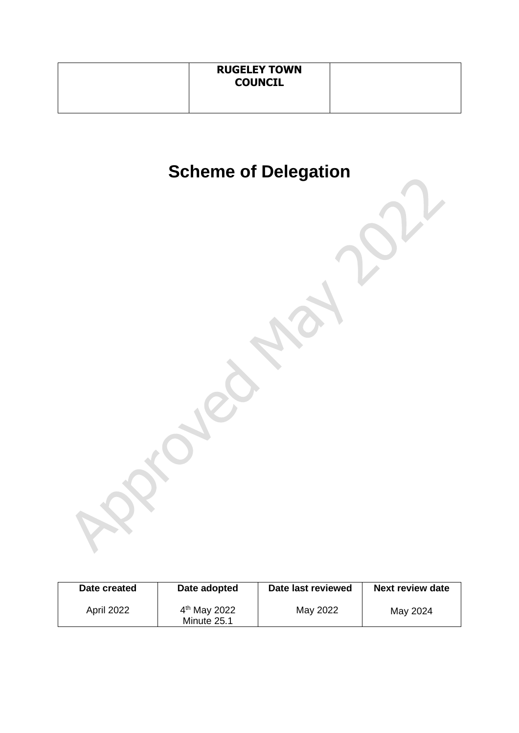| <b>RUGELEY TOWN</b><br><b>COUNCIL</b> |  |
|---------------------------------------|--|
|                                       |  |

# **Scheme of Delegation**

| Date created | Date adopted                  | Date last reviewed | <b>Next review date</b> |
|--------------|-------------------------------|--------------------|-------------------------|
| April 2022   | $4th$ May 2022<br>Minute 25.1 | May 2022           | May 2024                |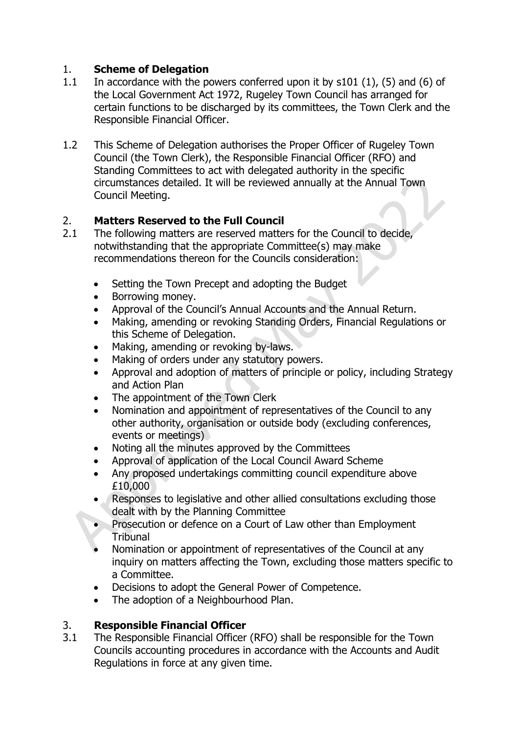# 1. **Scheme of Delegation**

- 1.1 In accordance with the powers conferred upon it by s101 (1), (5) and (6) of the Local Government Act 1972, Rugeley Town Council has arranged for certain functions to be discharged by its committees, the Town Clerk and the Responsible Financial Officer.
- 1.2 This Scheme of Delegation authorises the Proper Officer of Rugeley Town Council (the Town Clerk), the Responsible Financial Officer (RFO) and Standing Committees to act with delegated authority in the specific circumstances detailed. It will be reviewed annually at the Annual Town Council Meeting.

#### 2. **Matters Reserved to the Full Council**

- 2.1 The following matters are reserved matters for the Council to decide, notwithstanding that the appropriate Committee(s) may make recommendations thereon for the Councils consideration:
	- Setting the Town Precept and adopting the Budget
	- Borrowing money.
	- Approval of the Council's Annual Accounts and the Annual Return.
	- Making, amending or revoking Standing Orders, Financial Regulations or this Scheme of Delegation.
	- Making, amending or revoking by-laws.
	- Making of orders under any statutory powers.
	- Approval and adoption of matters of principle or policy, including Strategy and Action Plan
	- The appointment of the Town Clerk
	- Nomination and appointment of representatives of the Council to any other authority, organisation or outside body (excluding conferences, events or meetings)
	- Noting all the minutes approved by the Committees
	- Approval of application of the Local Council Award Scheme
	- Any proposed undertakings committing council expenditure above £10,000
	- Responses to legislative and other allied consultations excluding those dealt with by the Planning Committee
	- Prosecution or defence on a Court of Law other than Employment Tribunal
	- Nomination or appointment of representatives of the Council at any inquiry on matters affecting the Town, excluding those matters specific to a Committee.
	- Decisions to adopt the General Power of Competence.
	- The adoption of a Neighbourhood Plan.

# 3. **Responsible Financial Officer**

3.1 The Responsible Financial Officer (RFO) shall be responsible for the Town Councils accounting procedures in accordance with the Accounts and Audit Regulations in force at any given time.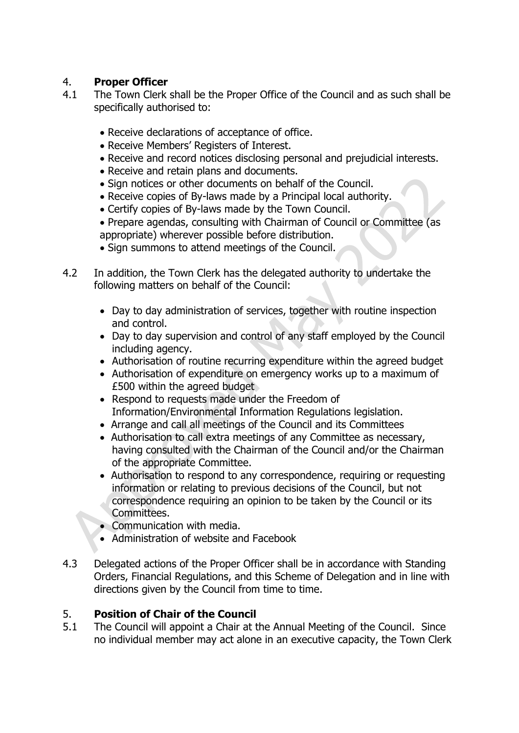### 4. **Proper Officer**

- 4.1 The Town Clerk shall be the Proper Office of the Council and as such shall be specifically authorised to:
	- Receive declarations of acceptance of office.
	- Receive Members' Registers of Interest.
	- Receive and record notices disclosing personal and prejudicial interests.
	- Receive and retain plans and documents.
	- Sign notices or other documents on behalf of the Council.
	- Receive copies of By-laws made by a Principal local authority.
	- Certify copies of By-laws made by the Town Council.
	- Prepare agendas, consulting with Chairman of Council or Committee (as appropriate) wherever possible before distribution.
	- Sign summons to attend meetings of the Council.
- 4.2 In addition, the Town Clerk has the delegated authority to undertake the following matters on behalf of the Council:
	- Day to day administration of services, together with routine inspection and control.
	- Day to day supervision and control of any staff employed by the Council including agency.
	- Authorisation of routine recurring expenditure within the agreed budget
	- Authorisation of expenditure on emergency works up to a maximum of £500 within the agreed budget
	- Respond to requests made under the Freedom of Information/Environmental Information Regulations legislation.
	- Arrange and call all meetings of the Council and its Committees
	- Authorisation to call extra meetings of any Committee as necessary, having consulted with the Chairman of the Council and/or the Chairman of the appropriate Committee.
	- Authorisation to respond to any correspondence, requiring or requesting information or relating to previous decisions of the Council, but not correspondence requiring an opinion to be taken by the Council or its Committees.
	- Communication with media.
	- Administration of website and Facebook
- 4.3 Delegated actions of the Proper Officer shall be in accordance with Standing Orders, Financial Regulations, and this Scheme of Delegation and in line with directions given by the Council from time to time.

# 5. **Position of Chair of the Council**

5.1 The Council will appoint a Chair at the Annual Meeting of the Council. Since no individual member may act alone in an executive capacity, the Town Clerk